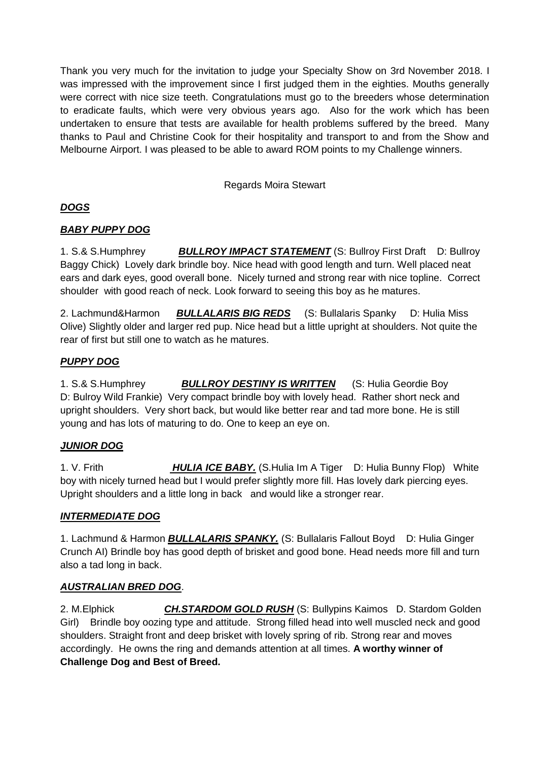Thank you very much for the invitation to judge your Specialty Show on 3rd November 2018. I was impressed with the improvement since I first judged them in the eighties. Mouths generally were correct with nice size teeth. Congratulations must go to the breeders whose determination to eradicate faults, which were very obvious years ago. Also for the work which has been undertaken to ensure that tests are available for health problems suffered by the breed. Many thanks to Paul and Christine Cook for their hospitality and transport to and from the Show and Melbourne Airport. I was pleased to be able to award ROM points to my Challenge winners.

Regards Moira Stewart

# *DOGS*

## *BABY PUPPY DOG*

1. S.& S.Humphrey *BULLROY IMPACT STATEMENT* (S: Bullroy First Draft D: Bullroy Baggy Chick) Lovely dark brindle boy. Nice head with good length and turn. Well placed neat ears and dark eyes, good overall bone. Nicely turned and strong rear with nice topline. Correct shoulder with good reach of neck. Look forward to seeing this boy as he matures.

2. Lachmund&Harmon *BULLALARIS BIG REDS* (S: Bullalaris Spanky D: Hulia Miss Olive) Slightly older and larger red pup. Nice head but a little upright at shoulders. Not quite the rear of first but still one to watch as he matures.

## *PUPPY DOG*

1. S.& S.Humphrey *BULLROY DESTINY IS WRITTEN*(S: Hulia Geordie Boy D: Bulroy Wild Frankie)Very compact brindle boy with lovely head. Rather short neck and upright shoulders. Very short back, but would like better rear and tad more bone. He is still young and has lots of maturing to do. One to keep an eye on.

## *JUNIOR DOG*

1. V. Frith *HULIA ICE BABY.* (S.Hulia Im A Tiger D: Hulia Bunny Flop) White boy with nicely turned head but I would prefer slightly more fill. Has lovely dark piercing eyes. Upright shoulders and a little long in back and would like a stronger rear.

## *INTERMEDIATE DOG*

1. Lachmund & Harmon *BULLALARIS SPANKY.* (S: Bullalaris Fallout Boyd D: Hulia Ginger Crunch AI) Brindle boy has good depth of brisket and good bone. Head needs more fill and turn also a tad long in back.

## *AUSTRALIAN BRED DOG*.

2. M.Elphick *CH.STARDOM GOLD RUSH* (S: Bullypins Kaimos D. Stardom Golden Girl) Brindle boy oozing type and attitude. Strong filled head into well muscled neck and good shoulders. Straight front and deep brisket with lovely spring of rib. Strong rear and moves accordingly. He owns the ring and demands attention at all times. **A worthy winner of Challenge Dog and Best of Breed.**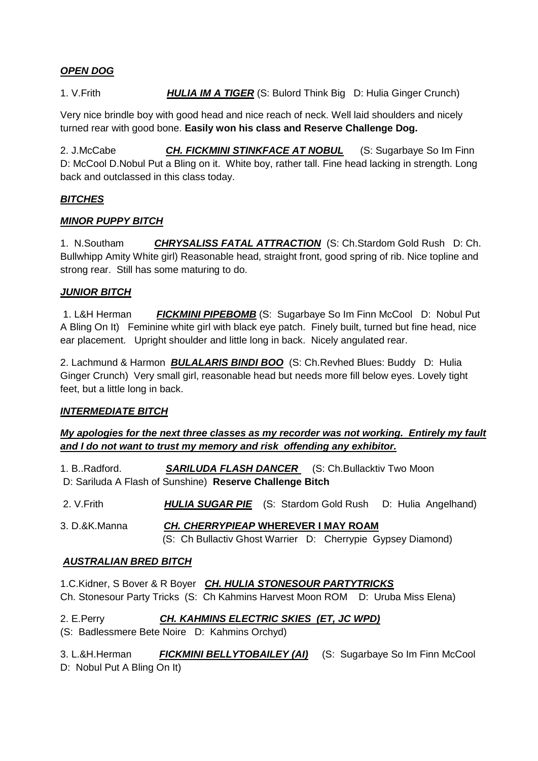## *OPEN DOG*

1. V.Frith *HULIA IM A TIGER* (S: Bulord Think Big D: Hulia Ginger Crunch)

Very nice brindle boy with good head and nice reach of neck. Well laid shoulders and nicely turned rear with good bone. **Easily won his class and Reserve Challenge Dog.** 

2. J.McCabe *CH. FICKMINI STINKFACE AT NOBUL* (S: Sugarbaye So Im Finn D: McCool D.Nobul Put a Bling on it. White boy, rather tall. Fine head lacking in strength. Long back and outclassed in this class today.

## *BITCHES*

## *MINOR PUPPY BITCH*

1. N.Southam *CHRYSALISS FATAL ATTRACTION* (S: Ch.Stardom Gold Rush D: Ch. Bullwhipp Amity White girl) Reasonable head, straight front, good spring of rib. Nice topline and strong rear. Still has some maturing to do.

## *JUNIOR BITCH*

1. L&H Herman *FICKMINI PIPEBOMB* (S: Sugarbaye So Im Finn McCool D: Nobul Put A Bling On It) Feminine white girl with black eye patch. Finely built, turned but fine head, nice ear placement. Upright shoulder and little long in back. Nicely angulated rear.

2. Lachmund & Harmon *BULALARIS BINDI BOO* (S: Ch.Revhed Blues: Buddy D: Hulia Ginger Crunch) Very small girl, reasonable head but needs more fill below eyes. Lovely tight feet, but a little long in back.

## *INTERMEDIATE BITCH*

## *My apologies for the next three classes as my recorder was not working. Entirely my fault and I do not want to trust my memory and risk offending any exhibitor.*

1. B..Radford. *SARILUDA FLASH DANCER* (S: Ch.Bullacktiv Two Moon D: Sariluda A Flash of Sunshine) **Reserve Challenge Bitch**

- 2. V.Frith *HULIA SUGAR PIE* (S: Stardom Gold Rush D: Hulia Angelhand)
- 3. D.&K.Manna *CH. CHERRYPIEAP* **WHEREVER I MAY ROAM** (S: Ch Bullactiv Ghost Warrier D: Cherrypie Gypsey Diamond)

#### *AUSTRALIAN BRED BITCH*

1.C.Kidner, S Bover & R Boyer *CH. HULIA STONESOUR PARTYTRICKS* Ch. Stonesour Party Tricks (S: Ch Kahmins Harvest Moon ROM D: Uruba Miss Elena)

2. E.Perry *CH. KAHMINS ELECTRIC SKIES (ET, JC WPD)* (S: Badlessmere Bete Noire D: Kahmins Orchyd)

3. L.&H.Herman *FICKMINI BELLYTOBAILEY (AI)* (S: Sugarbaye So Im Finn McCool D: Nobul Put A Bling On It)